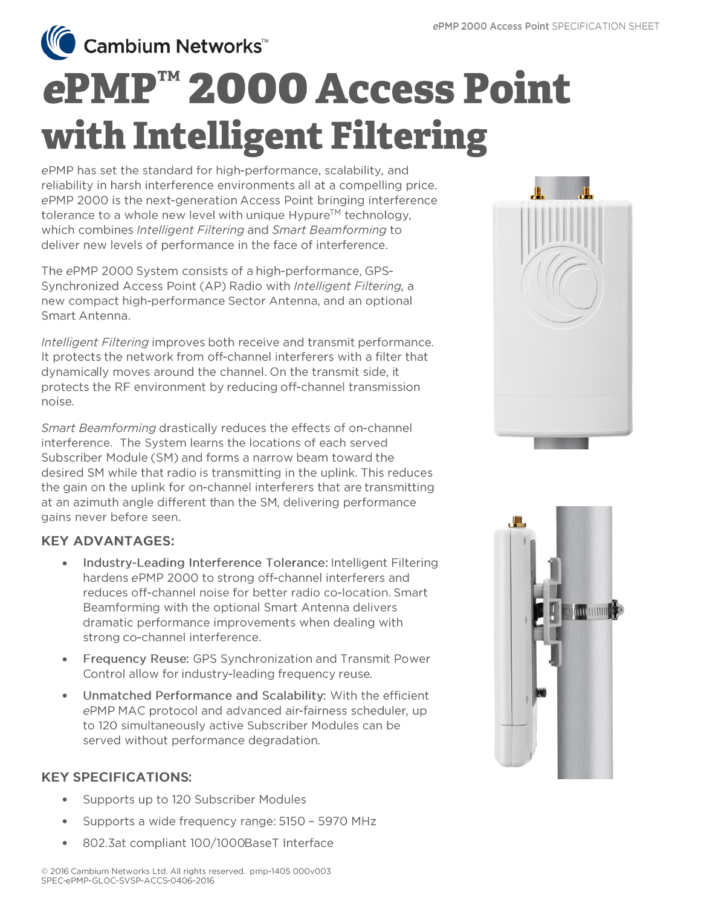● Cambium Networks<sup>™</sup>

# ePMP™ 2000 Access Point with Intelligent Filtering

ePMP has set the standard for high-performance, scalability, and reliability in harsh interference environments all at a compelling price. ePMP 2000 is the next-generation Access Point bringing interference tolerance to a whole new level with unique Hypure™ technology, which combines Intelligent Filtering and Smart Beamforming to deliver new levels of performance in the face of interference.

The ePMP 2000 System consists of a high-performance, GPS-Synchronized Access Point (AP) Radio with Intelligent Filtering, a new compact high-performance Sector Antenna, and an optional Smart Antenna.

Intelligent Filtering improves both receive and transmit performance. It protects the network from off-channel interferers with a filter that dynamically moves around the channel. On the transmit side, it protects the RF environment by reducing off-channel transmission noise.

Smart Beamforming drastically reduces the effects of on-channel interference. The System learns the locations of each served Subscriber Module (SM) and forms a narrow beam toward the desired SM while that radio is transmitting in the uplink. This reduces the gain on the uplink for on-channel interferers that are transmitting at an azimuth angle different than the SM, delivering performance gains never before seen.

# **KEY ADVANTAGES:**

- Industry-Leading Interference Tolerance: Intelligent Filtering  $\bullet$ hardens ePMP 2000 to strong off-channel interferers and reduces off-channel noise for better radio co-location. Smart Beamforming with the optional Smart Antenna delivers dramatic performance improvements when dealing with strong co-channel interference.
- **Frequency Reuse: GPS Synchronization and Transmit Power** Control allow for industry-leading frequency reuse.
- Unmatched Performance and Scalability: With the efficient  $\bullet$ ePMP MAC protocol and advanced air-fairness scheduler, up to 120 simultaneously active Subscriber Modules can be served without performance degradation.

# **KEY SPECIFICATIONS:**

- Supports up to 120 Subscriber Modules  $\bullet$
- Supports a wide frequency range: 5150 5970 MHz  $\bullet$
- 802.3at compliant 100/1000BaseT Interface





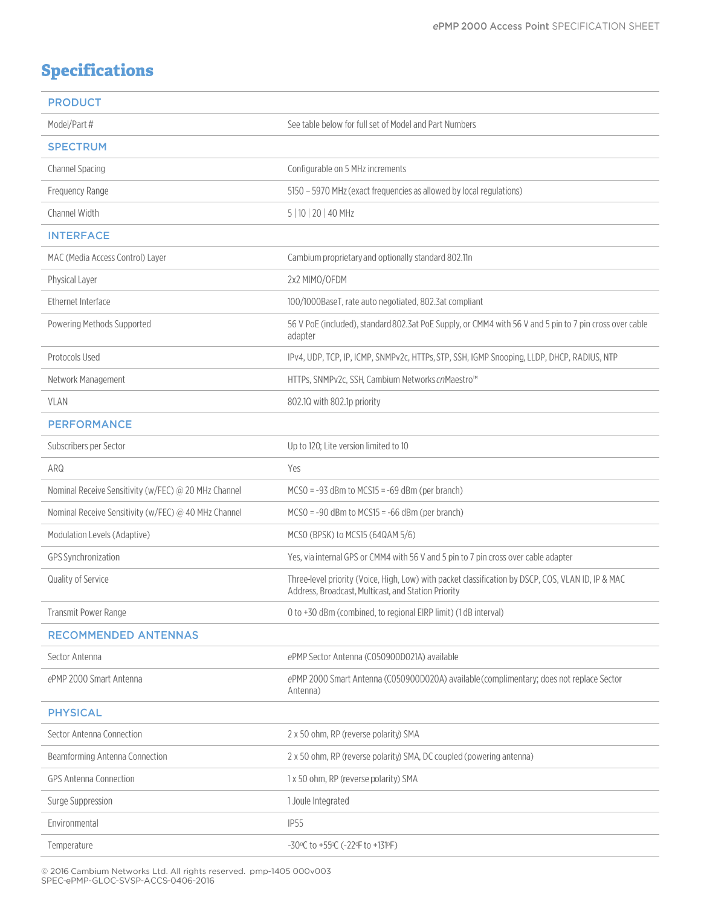# **Specifications**

| <b>PRODUCT</b>                                       |                                                                                                                                                           |
|------------------------------------------------------|-----------------------------------------------------------------------------------------------------------------------------------------------------------|
| Model/Part #                                         | See table below for full set of Model and Part Numbers                                                                                                    |
| <b>SPECTRUM</b>                                      |                                                                                                                                                           |
| Channel Spacing                                      | Configurable on 5 MHz increments                                                                                                                          |
| Frequency Range                                      | 5150 - 5970 MHz (exact frequencies as allowed by local regulations)                                                                                       |
| Channel Width                                        | 5   10   20   40 MHz                                                                                                                                      |
| <b>INTERFACE</b>                                     |                                                                                                                                                           |
| MAC (Media Access Control) Layer                     | Cambium proprietary and optionally standard 802.11n                                                                                                       |
| Physical Layer                                       | 2x2 MIMO/OFDM                                                                                                                                             |
| Ethernet Interface                                   | 100/1000BaseT, rate auto negotiated, 802.3at compliant                                                                                                    |
| Powering Methods Supported                           | 56 V PoE (included), standard 802.3at PoE Supply, or CMM4 with 56 V and 5 pin to 7 pin cross over cable<br>adapter                                        |
| Protocols Used                                       | IPv4, UDP, TCP, IP, ICMP, SNMPv2c, HTTPs, STP, SSH, IGMP Snooping, LLDP, DHCP, RADIUS, NTP                                                                |
| Network Management                                   | HTTPs, SNMPv2c, SSH, Cambium Networks cnMaestro™                                                                                                          |
| <b>VLAN</b>                                          | 802.10 with 802.1p priority                                                                                                                               |
| <b>PERFORMANCE</b>                                   |                                                                                                                                                           |
| Subscribers per Sector                               | Up to 120; Lite version limited to 10                                                                                                                     |
| ARQ                                                  | Yes                                                                                                                                                       |
| Nominal Receive Sensitivity (w/FEC) @ 20 MHz Channel | $MCSO = -93$ dBm to MCS15 = $-69$ dBm (per branch)                                                                                                        |
| Nominal Receive Sensitivity (w/FEC) @ 40 MHz Channel | $MCSO = -90$ dBm to $MCS15 = -66$ dBm (per branch)                                                                                                        |
| Modulation Levels (Adaptive)                         | MCSO (BPSK) to MCS15 (64QAM 5/6)                                                                                                                          |
| GPS Synchronization                                  | Yes, via internal GPS or CMM4 with 56 V and 5 pin to 7 pin cross over cable adapter                                                                       |
| Quality of Service                                   | Three-level priority (Voice, High, Low) with packet classification by DSCP, COS, VLAN ID, IP & MAC<br>Address, Broadcast, Multicast, and Station Priority |
| Transmit Power Range                                 | 0 to +30 dBm (combined, to regional EIRP limit) (1 dB interval)                                                                                           |
| <b>RECOMMENDED ANTENNAS</b>                          |                                                                                                                                                           |
| Sector Antenna                                       | ePMP Sector Antenna (C050900D021A) available                                                                                                              |
| ePMP 2000 Smart Antenna                              | ePMP 2000 Smart Antenna (C050900D020A) available (complimentary; does not replace Sector<br>Antenna)                                                      |
| <b>PHYSICAL</b>                                      |                                                                                                                                                           |
| Sector Antenna Connection                            | 2 x 50 ohm, RP (reverse polarity) SMA                                                                                                                     |
| Beamforming Antenna Connection                       | 2 x 50 ohm, RP (reverse polarity) SMA, DC coupled (powering antenna)                                                                                      |
| <b>GPS Antenna Connection</b>                        | 1 x 50 ohm, RP (reverse polarity) SMA                                                                                                                     |
| Surge Suppression                                    | 1 Joule Integrated                                                                                                                                        |
| Environmental                                        | <b>IP55</b>                                                                                                                                               |
| Temperature                                          | -30°C to +55°C (-22°F to +131°F)                                                                                                                          |

© 2016 Cambium Networks Ltd. All rights reserved. pmp-1405 000v003<br>SPEC-ePMP-GLOC-SVSP-ACCS-0406-2016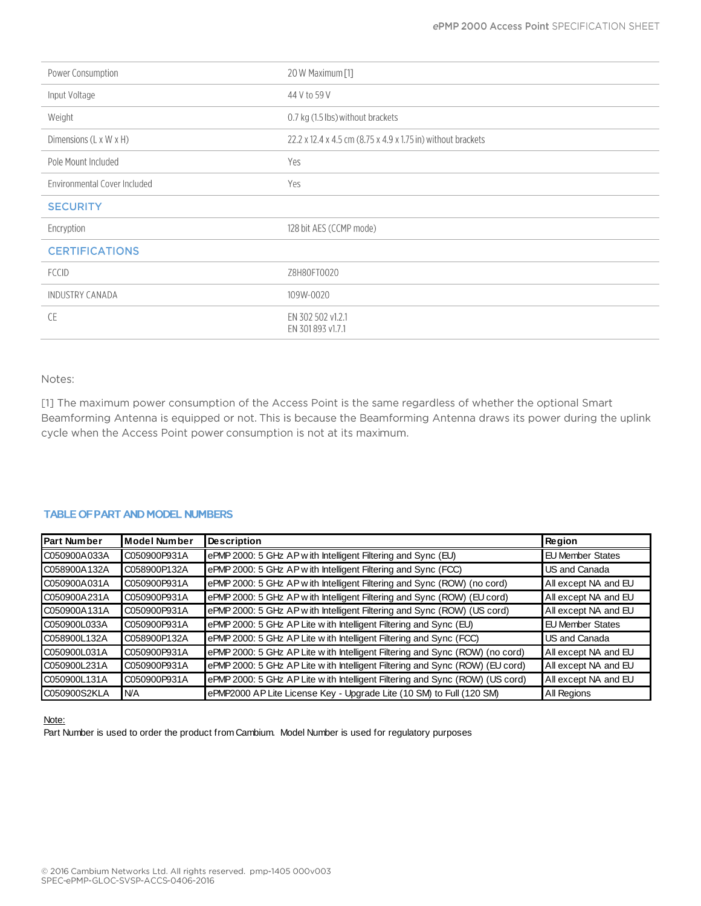| Power Consumption            | 20 W Maximum [1]                                             |
|------------------------------|--------------------------------------------------------------|
| Input Voltage                | 44 V to 59 V                                                 |
| Weight                       | 0.7 kg (1.5 lbs) without brackets                            |
| Dimensions (L x W x H)       | 22.2 x 12.4 x 4.5 cm (8.75 x 4.9 x 1.75 in) without brackets |
| Pole Mount Included          | Yes                                                          |
| Environmental Cover Included | Yes                                                          |
| <b>SECURITY</b>              |                                                              |
| Encryption                   | 128 bit AES (CCMP mode)                                      |
| <b>CERTIFICATIONS</b>        |                                                              |
| <b>FCCID</b>                 | Z8H80FT0020                                                  |
| <b>INDUSTRY CANADA</b>       | 109W-0020                                                    |
| <b>CE</b>                    | EN 302 502 v1.2.1<br>EN 301 893 v1.7.1                       |

## Notes:

[1] The maximum power consumption of the Access Point is the same regardless of whether the optional Smart Beamforming Antenna is equipped or not. This is because the Beamforming Antenna draws its power during the uplink cycle when the Access Point power consumption is not at its maximum.

| <b>Part Number</b> | <b>Model Number</b> | <b>Description</b>                                                            | <b>Region</b>           |
|--------------------|---------------------|-------------------------------------------------------------------------------|-------------------------|
| C050900A033A       | C050900P931A        | ePMP 2000: 5 GHz AP with Intelligent Filtering and Sync (EU)                  | <b>EU Member States</b> |
| C058900A132A       | C058900P132A        | ePMP 2000: 5 GHz AP with Intelligent Filtering and Sync (FCC)                 | US and Canada           |
| C050900A031A       | C050900P931A        | ePMP 2000: 5 GHz AP with Intelligent Filtering and Sync (ROW) (no cord)       | All except NA and EU    |
| C050900A231A       | C050900P931A        | ePMP 2000: 5 GHz AP with Intelligent Filtering and Sync (ROW) (EU cord)       | All except NA and EU    |
| C050900A131A       | C050900P931A        | ePMP 2000: 5 GHz AP with Intelligent Filtering and Sync (ROW) (US cord)       | All except NA and EU    |
| C050900L033A       | C050900P931A        | ePMP 2000: 5 GHz AP Lite w ith Intelligent Filtering and Sync (EU)            | <b>EU Member States</b> |
| C058900L132A       | C058900P132A        | ePMP 2000: 5 GHz AP Lite w ith Intelligent Filtering and Sync (FCC)           | US and Canada           |
| IC050900L031A      | C050900P931A        | ePMP 2000: 5 GHz AP Lite with Intelligent Filtering and Sync (ROW) (no cord)  | All except NA and EU    |
| C050900L231A       | C050900P931A        | ePMP 2000: 5 GHz AP Lite w ith Intelligent Filtering and Sync (ROW) (EU cord) | All except NA and EU    |
| C050900L131A       | C050900P931A        | ePMP 2000: 5 GHz AP Lite w ith Intelligent Filtering and Sync (ROW) (US cord) | All except NA and EU    |
| C050900S2KLA       | <b>NA</b>           | ePMP2000 AP Lite License Key - Upgrade Lite (10 SM) to Full (120 SM)          | All Regions             |

### Note:

Part Number is used to order the product from Cambium. Model Number is used for regulatory purposes